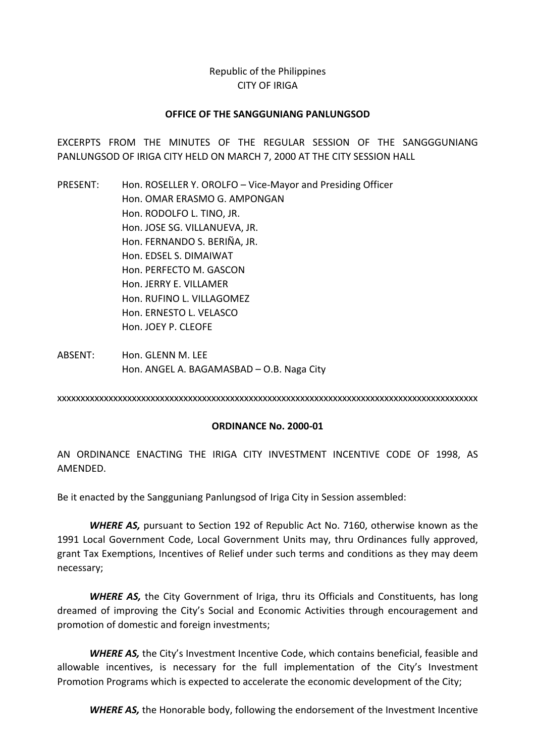# Republic of the Philippines CITY OF IRIGA

#### **OFFICE OF THE SANGGUNIANG PANLUNGSOD**

EXCERPTS FROM THE MINUTES OF THE REGULAR SESSION OF THE SANGGGUNIANG PANLUNGSOD OF IRIGA CITY HELD ON MARCH 7, 2000 AT THE CITY SESSION HALL

PRESENT: Hon. ROSELLER Y. OROLFO – Vice-Mayor and Presiding Officer Hon. OMAR ERASMO G. AMPONGAN Hon. RODOLFO L. TINO, JR. Hon. JOSE SG. VILLANUEVA, JR. Hon. FERNANDO S. BERIÑA, JR. Hon. EDSEL S. DIMAIWAT Hon. PERFECTO M. GASCON Hon. JERRY E. VILLAMER Hon. RUFINO L. VILLAGOMEZ Hon. ERNESTO L. VELASCO Hon. JOEY P. CLEOFE

ABSENT: Hon. GLENN M. LEE Hon. ANGEL A. BAGAMASBAD - O.B. Naga City

xxxxxxxxxxxxxxxxxxxxxxxxxxxxxxxxxxxxxxxxxxxxxxxxxxxxxxxxxxxxxxxxxxxxxxxxxxxxxxxxxxxxxxxxxx

#### **ORDINANCE No. 2000-01**

AN ORDINANCE ENACTING THE IRIGA CITY INVESTMENT INCENTIVE CODE OF 1998, AS AMENDED.

Be it enacted by the Sangguniang Panlungsod of Iriga City in Session assembled:

**WHERE AS,** pursuant to Section 192 of Republic Act No. 7160, otherwise known as the 1991 Local Government Code, Local Government Units may, thru Ordinances fully approved, grant Tax Exemptions, Incentives of Relief under such terms and conditions as they may deem necessary;

**WHERE AS,** the City Government of Iriga, thru its Officials and Constituents, has long dreamed of improving the City's Social and Economic Activities through encouragement and promotion of domestic and foreign investments:

**WHERE AS,** the City's Investment Incentive Code, which contains beneficial, feasible and allowable incentives, is necessary for the full implementation of the City's Investment Promotion Programs which is expected to accelerate the economic development of the City;

**WHERE AS,** the Honorable body, following the endorsement of the Investment Incentive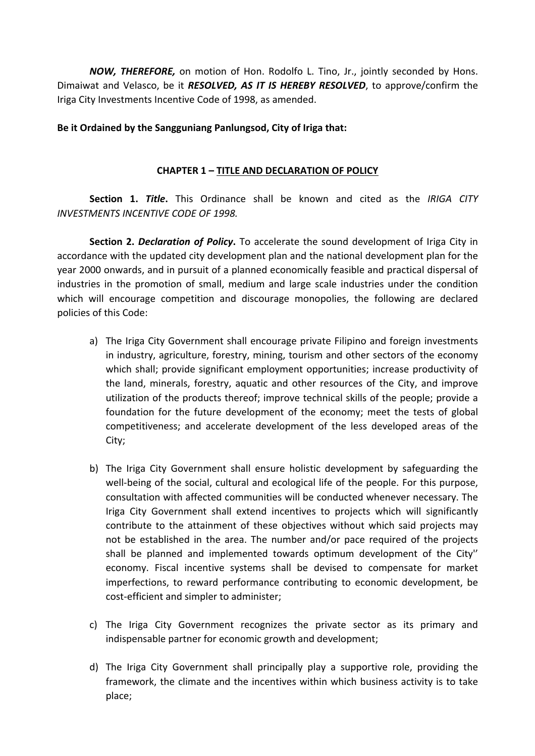**NOW, THEREFORE,** on motion of Hon. Rodolfo L. Tino, Jr., jointly seconded by Hons. Dimaiwat and Velasco, be it *RESOLVED, AS IT IS HEREBY RESOLVED*, to approve/confirm the Iriga City Investments Incentive Code of 1998, as amended.

## Be it Ordained by the Sangguniang Panlungsod, City of Iriga that:

### **CHAPTER 1 – TITLE AND DECLARATION OF POLICY**

**Section 1. Title.** This Ordinance shall be known and cited as the *IRIGA CITY* **INVESTMENTS INCENTIVE CODE OF 1998.** 

**Section 2. Declaration of Policy.** To accelerate the sound development of Iriga City in accordance with the updated city development plan and the national development plan for the year 2000 onwards, and in pursuit of a planned economically feasible and practical dispersal of industries in the promotion of small, medium and large scale industries under the condition which will encourage competition and discourage monopolies, the following are declared policies of this Code:

- a) The Iriga City Government shall encourage private Filipino and foreign investments in industry, agriculture, forestry, mining, tourism and other sectors of the economy which shall; provide significant employment opportunities; increase productivity of the land, minerals, forestry, aquatic and other resources of the City, and improve utilization of the products thereof; improve technical skills of the people; provide a foundation for the future development of the economy; meet the tests of global competitiveness; and accelerate development of the less developed areas of the City;
- b) The Iriga City Government shall ensure holistic development by safeguarding the well-being of the social, cultural and ecological life of the people. For this purpose, consultation with affected communities will be conducted whenever necessary. The Iriga City Government shall extend incentives to projects which will significantly contribute to the attainment of these objectives without which said projects may not be established in the area. The number and/or pace required of the projects shall be planned and implemented towards optimum development of the City" economy. Fiscal incentive systems shall be devised to compensate for market imperfections, to reward performance contributing to economic development, be cost-efficient and simpler to administer;
- c) The Iriga City Government recognizes the private sector as its primary and indispensable partner for economic growth and development;
- d) The Iriga City Government shall principally play a supportive role, providing the framework, the climate and the incentives within which business activity is to take place;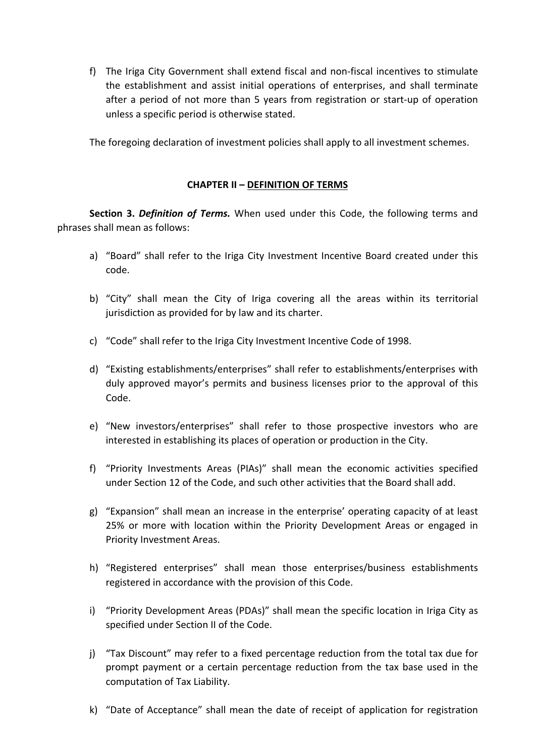f) The Iriga City Government shall extend fiscal and non-fiscal incentives to stimulate the establishment and assist initial operations of enterprises, and shall terminate after a period of not more than 5 years from registration or start-up of operation unless a specific period is otherwise stated.

The foregoing declaration of investment policies shall apply to all investment schemes.

## **CHAPTER II – DEFINITION OF TERMS**

**Section 3. Definition of Terms.** When used under this Code, the following terms and phrases shall mean as follows:

- a) "Board" shall refer to the Iriga City Investment Incentive Board created under this code.
- b) "City" shall mean the City of Iriga covering all the areas within its territorial jurisdiction as provided for by law and its charter.
- c) "Code" shall refer to the Iriga City Investment Incentive Code of 1998.
- d) "Existing establishments/enterprises" shall refer to establishments/enterprises with duly approved mayor's permits and business licenses prior to the approval of this Code.
- e) "New investors/enterprises" shall refer to those prospective investors who are interested in establishing its places of operation or production in the City.
- f) "Priority Investments Areas (PIAs)" shall mean the economic activities specified under Section 12 of the Code, and such other activities that the Board shall add.
- g) "Expansion" shall mean an increase in the enterprise' operating capacity of at least 25% or more with location within the Priority Development Areas or engaged in Priority Investment Areas.
- h) "Registered enterprises" shall mean those enterprises/business establishments registered in accordance with the provision of this Code.
- i) "Priority Development Areas (PDAs)" shall mean the specific location in Iriga City as specified under Section II of the Code.
- j) "Tax Discount" may refer to a fixed percentage reduction from the total tax due for prompt payment or a certain percentage reduction from the tax base used in the computation of Tax Liability.
- k) "Date of Acceptance" shall mean the date of receipt of application for registration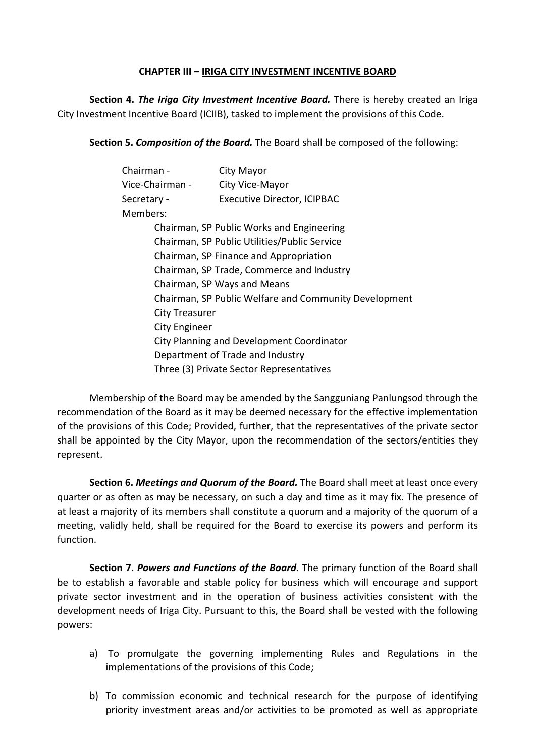## **CHAPTER III - IRIGA CITY INVESTMENT INCENTIVE BOARD**

**Section 4. The Iriga City Investment Incentive Board.** There is hereby created an Iriga City Investment Incentive Board (ICIIB), tasked to implement the provisions of this Code.

**Section 5. Composition of the Board.** The Board shall be composed of the following:

| Chairman -            | City Mayor                                            |
|-----------------------|-------------------------------------------------------|
| Vice-Chairman -       | City Vice-Mayor                                       |
| Secretary -           | <b>Executive Director, ICIPBAC</b>                    |
| Members:              |                                                       |
|                       | Chairman, SP Public Works and Engineering             |
|                       | Chairman, SP Public Utilities/Public Service          |
|                       | Chairman, SP Finance and Appropriation                |
|                       | Chairman, SP Trade, Commerce and Industry             |
|                       | Chairman, SP Ways and Means                           |
|                       | Chairman, SP Public Welfare and Community Development |
| <b>City Treasurer</b> |                                                       |
| <b>City Engineer</b>  |                                                       |
|                       | City Planning and Development Coordinator             |
|                       | Department of Trade and Industry                      |
|                       | Three (3) Private Sector Representatives              |

Membership of the Board may be amended by the Sangguniang Panlungsod through the recommendation of the Board as it may be deemed necessary for the effective implementation of the provisions of this Code; Provided, further, that the representatives of the private sector shall be appointed by the City Mayor, upon the recommendation of the sectors/entities they represent.

**Section 6. Meetings and Quorum of the Board.** The Board shall meet at least once every quarter or as often as may be necessary, on such a day and time as it may fix. The presence of at least a majority of its members shall constitute a quorum and a majority of the quorum of a meeting, validly held, shall be required for the Board to exercise its powers and perform its function.

**Section 7. Powers and Functions of the Board**. The primary function of the Board shall be to establish a favorable and stable policy for business which will encourage and support private sector investment and in the operation of business activities consistent with the development needs of Iriga City. Pursuant to this, the Board shall be vested with the following powers:

- a) To promulgate the governing implementing Rules and Regulations in the implementations of the provisions of this Code;
- b) To commission economic and technical research for the purpose of identifying priority investment areas and/or activities to be promoted as well as appropriate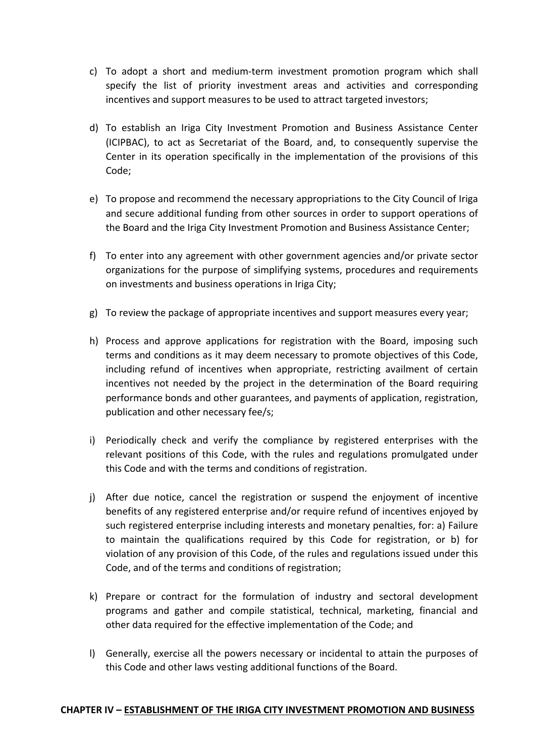- c) To adopt a short and medium-term investment promotion program which shall specify the list of priority investment areas and activities and corresponding incentives and support measures to be used to attract targeted investors;
- d) To establish an Iriga City Investment Promotion and Business Assistance Center (ICIPBAC), to act as Secretariat of the Board, and, to consequently supervise the Center in its operation specifically in the implementation of the provisions of this Code;
- e) To propose and recommend the necessary appropriations to the City Council of Iriga and secure additional funding from other sources in order to support operations of the Board and the Iriga City Investment Promotion and Business Assistance Center;
- f) To enter into any agreement with other government agencies and/or private sector organizations for the purpose of simplifying systems, procedures and requirements on investments and business operations in Iriga City;
- g) To review the package of appropriate incentives and support measures every year;
- h) Process and approve applications for registration with the Board, imposing such terms and conditions as it may deem necessary to promote objectives of this Code, including refund of incentives when appropriate, restricting availment of certain incentives not needed by the project in the determination of the Board requiring performance bonds and other guarantees, and payments of application, registration, publication and other necessary fee/s;
- i) Periodically check and verify the compliance by registered enterprises with the relevant positions of this Code, with the rules and regulations promulgated under this Code and with the terms and conditions of registration.
- j) After due notice, cancel the registration or suspend the enjoyment of incentive benefits of any registered enterprise and/or require refund of incentives enjoyed by such registered enterprise including interests and monetary penalties, for: a) Failure to maintain the qualifications required by this Code for registration, or b) for violation of any provision of this Code, of the rules and regulations issued under this Code, and of the terms and conditions of registration;
- k) Prepare or contract for the formulation of industry and sectoral development programs and gather and compile statistical, technical, marketing, financial and other data required for the effective implementation of the Code; and
- I) Generally, exercise all the powers necessary or incidental to attain the purposes of this Code and other laws vesting additional functions of the Board.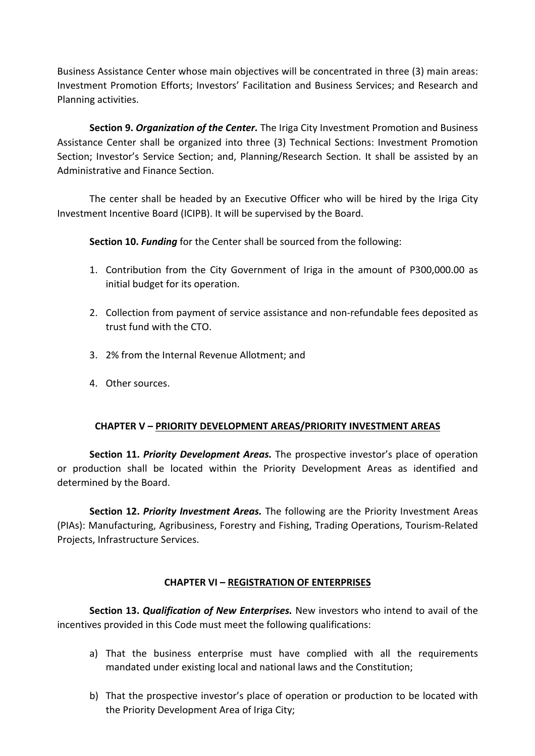Business Assistance Center whose main objectives will be concentrated in three (3) main areas: Investment Promotion Efforts; Investors' Facilitation and Business Services; and Research and Planning activities.

**Section 9. Organization of the Center.** The Iriga City Investment Promotion and Business Assistance Center shall be organized into three (3) Technical Sections: Investment Promotion Section; Investor's Service Section; and, Planning/Research Section. It shall be assisted by an Administrative and Finance Section.

The center shall be headed by an Executive Officer who will be hired by the Iriga City Investment Incentive Board (ICIPB). It will be supervised by the Board.

**Section 10.** *Funding* for the Center shall be sourced from the following:

- 1. Contribution from the City Government of Iriga in the amount of P300,000.00 as initial budget for its operation.
- 2. Collection from payment of service assistance and non-refundable fees deposited as trust fund with the CTO.
- 3. 2% from the Internal Revenue Allotment; and
- 4. Other sources.

## **CHAPTER V - PRIORITY DEVELOPMENT AREAS/PRIORITY INVESTMENT AREAS**

**Section 11. Priority Development Areas.** The prospective investor's place of operation or production shall be located within the Priority Development Areas as identified and determined by the Board.

**Section 12. Priority Investment Areas.** The following are the Priority Investment Areas (PIAs): Manufacturing, Agribusiness, Forestry and Fishing, Trading Operations, Tourism-Related Projects, Infrastructure Services.

## **CHAPTER VI – REGISTRATION OF ENTERPRISES**

**Section 13.** *Qualification of New Enterprises***.** New investors who intend to avail of the incentives provided in this Code must meet the following qualifications:

- a) That the business enterprise must have complied with all the requirements mandated under existing local and national laws and the Constitution;
- b) That the prospective investor's place of operation or production to be located with the Priority Development Area of Iriga City;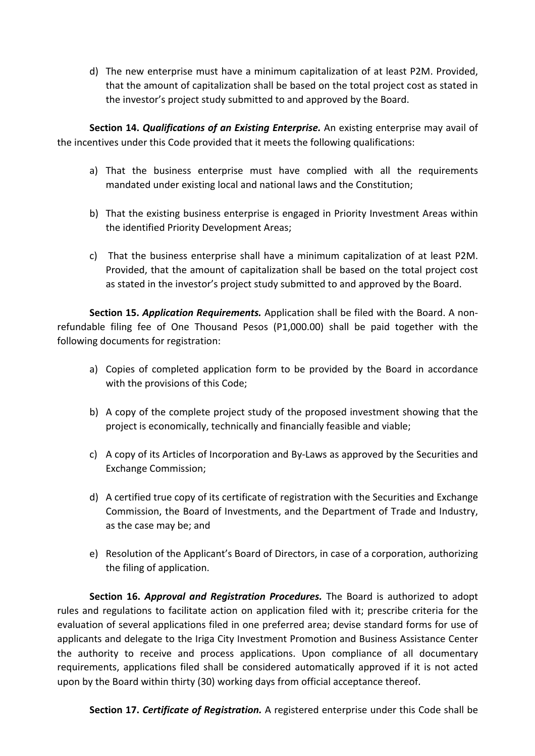d) The new enterprise must have a minimum capitalization of at least P2M. Provided, that the amount of capitalization shall be based on the total project cost as stated in the investor's project study submitted to and approved by the Board.

**Section 14. Qualifications of an Existing Enterprise.** An existing enterprise may avail of the incentives under this Code provided that it meets the following qualifications:

- a) That the business enterprise must have complied with all the requirements mandated under existing local and national laws and the Constitution;
- b) That the existing business enterprise is engaged in Priority Investment Areas within the identified Priority Development Areas;
- c) That the business enterprise shall have a minimum capitalization of at least P2M. Provided, that the amount of capitalization shall be based on the total project cost as stated in the investor's project study submitted to and approved by the Board.

**Section 15. Application Requirements.** Application shall be filed with the Board. A nonrefundable filing fee of One Thousand Pesos (P1,000.00) shall be paid together with the following documents for registration:

- a) Copies of completed application form to be provided by the Board in accordance with the provisions of this Code;
- b) A copy of the complete project study of the proposed investment showing that the project is economically, technically and financially feasible and viable;
- c) A copy of its Articles of Incorporation and By-Laws as approved by the Securities and Exchange Commission:
- d) A certified true copy of its certificate of registration with the Securities and Exchange Commission, the Board of Investments, and the Department of Trade and Industry, as the case may be; and
- e) Resolution of the Applicant's Board of Directors, in case of a corporation, authorizing the filing of application.

**Section 16. Approval and Registration Procedures.** The Board is authorized to adopt rules and regulations to facilitate action on application filed with it; prescribe criteria for the evaluation of several applications filed in one preferred area; devise standard forms for use of applicants and delegate to the Iriga City Investment Promotion and Business Assistance Center the authority to receive and process applications. Upon compliance of all documentary requirements, applications filed shall be considered automatically approved if it is not acted upon by the Board within thirty (30) working days from official acceptance thereof.

**Section 17. Certificate of Registration.** A registered enterprise under this Code shall be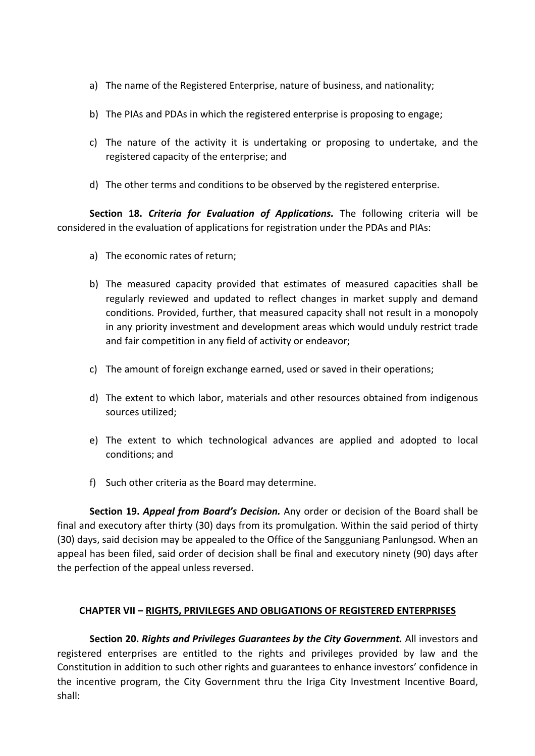- a) The name of the Registered Enterprise, nature of business, and nationality;
- b) The PIAs and PDAs in which the registered enterprise is proposing to engage;
- c) The nature of the activity it is undertaking or proposing to undertake, and the registered capacity of the enterprise; and
- d) The other terms and conditions to be observed by the registered enterprise.

**Section 18.** *Criteria for Evaluation of Applications***.** The following criteria will be considered in the evaluation of applications for registration under the PDAs and PIAs:

- a) The economic rates of return;
- b) The measured capacity provided that estimates of measured capacities shall be regularly reviewed and updated to reflect changes in market supply and demand conditions. Provided, further, that measured capacity shall not result in a monopoly in any priority investment and development areas which would unduly restrict trade and fair competition in any field of activity or endeavor;
- c) The amount of foreign exchange earned, used or saved in their operations;
- d) The extent to which labor, materials and other resources obtained from indigenous sources utilized;
- e) The extent to which technological advances are applied and adopted to local conditions; and
- f) Such other criteria as the Board may determine.

**Section 19. Appeal from Board's Decision.** Any order or decision of the Board shall be final and executory after thirty (30) days from its promulgation. Within the said period of thirty (30) days, said decision may be appealed to the Office of the Sangguniang Panlungsod. When an appeal has been filed, said order of decision shall be final and executory ninety (90) days after the perfection of the appeal unless reversed.

### **CHAPTER VII - RIGHTS, PRIVILEGES AND OBLIGATIONS OF REGISTERED ENTERPRISES**

**Section 20.** *Rights and Privileges Guarantees by the City Government.* **All investors and** registered enterprises are entitled to the rights and privileges provided by law and the Constitution in addition to such other rights and guarantees to enhance investors' confidence in the incentive program, the City Government thru the Iriga City Investment Incentive Board, shall: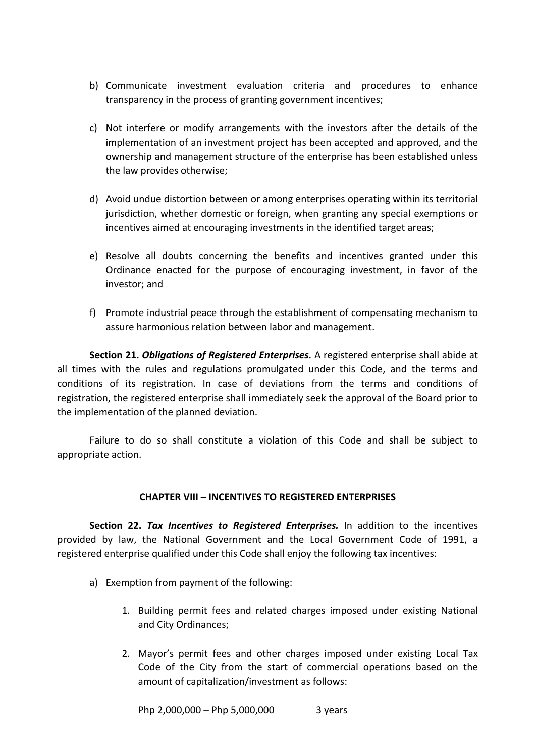- b) Communicate investment evaluation criteria and procedures to enhance transparency in the process of granting government incentives;
- c) Not interfere or modify arrangements with the investors after the details of the implementation of an investment project has been accepted and approved, and the ownership and management structure of the enterprise has been established unless the law provides otherwise;
- d) Avoid undue distortion between or among enterprises operating within its territorial jurisdiction, whether domestic or foreign, when granting any special exemptions or incentives aimed at encouraging investments in the identified target areas;
- e) Resolve all doubts concerning the benefits and incentives granted under this Ordinance enacted for the purpose of encouraging investment, in favor of the investor: and
- f) Promote industrial peace through the establishment of compensating mechanism to assure harmonious relation between labor and management.

**Section 21. Obligations of Registered Enterprises.** A registered enterprise shall abide at all times with the rules and regulations promulgated under this Code, and the terms and conditions of its registration. In case of deviations from the terms and conditions of registration, the registered enterprise shall immediately seek the approval of the Board prior to the implementation of the planned deviation.

Failure to do so shall constitute a violation of this Code and shall be subiect to appropriate action.

### **CHAPTER VIII – INCENTIVES TO REGISTERED ENTERPRISES**

**Section 22. Tax Incentives to Registered Enterprises.** In addition to the incentives provided by law, the National Government and the Local Government Code of 1991, a registered enterprise qualified under this Code shall enjoy the following tax incentives:

- a) Exemption from payment of the following:
	- 1. Building permit fees and related charges imposed under existing National and City Ordinances;
	- 2. Mayor's permit fees and other charges imposed under existing Local Tax Code of the City from the start of commercial operations based on the amount of capitalization/investment as follows: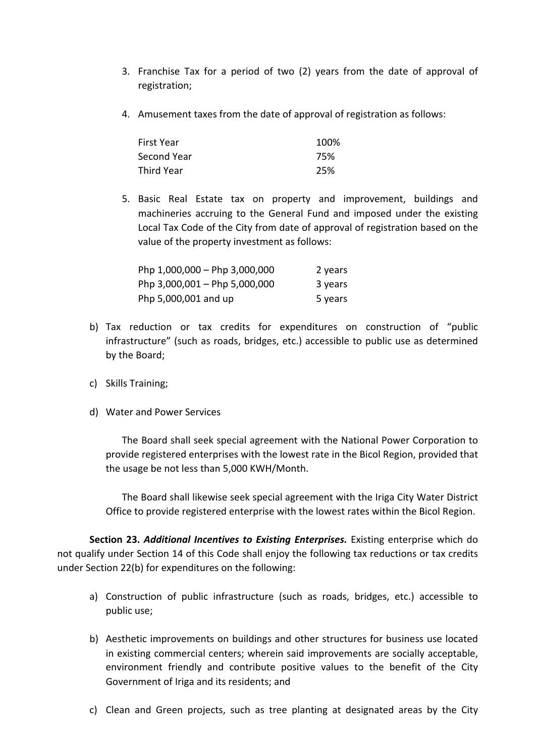- 3. Franchise Tax for a period of two  $(2)$  years from the date of approval of registration;
- 4. Amusement taxes from the date of approval of registration as follows:

| First Year  | 100% |
|-------------|------|
| Second Year | 75%  |
| Third Year  | 25%  |

5. Basic Real Estate tax on property and improvement, buildings and machineries accruing to the General Fund and imposed under the existing Local Tax Code of the City from date of approval of registration based on the value of the property investment as follows:

| Php 1,000,000 - Php 3,000,000 | 2 years |
|-------------------------------|---------|
| Php 3,000,001 - Php 5,000,000 | 3 years |
| Php 5,000,001 and up          | 5 years |

- b) Tax reduction or tax credits for expenditures on construction of "public infrastructure" (such as roads, bridges, etc.) accessible to public use as determined by the Board;
- c) Skills Training;
- d) Water and Power Services

The Board shall seek special agreement with the National Power Corporation to provide registered enterprises with the lowest rate in the Bicol Region, provided that the usage be not less than 5,000 KWH/Month.

The Board shall likewise seek special agreement with the Iriga City Water District Office to provide registered enterprise with the lowest rates within the Bicol Region.

**Section 23. Additional Incentives to Existing Enterprises.** Existing enterprise which do not qualify under Section 14 of this Code shall enjoy the following tax reductions or tax credits under Section 22(b) for expenditures on the following:

- a) Construction of public infrastructure (such as roads, bridges, etc.) accessible to public use;
- b) Aesthetic improvements on buildings and other structures for business use located in existing commercial centers; wherein said improvements are socially acceptable, environment friendly and contribute positive values to the benefit of the City Government of Iriga and its residents; and
- c) Clean and Green projects, such as tree planting at designated areas by the City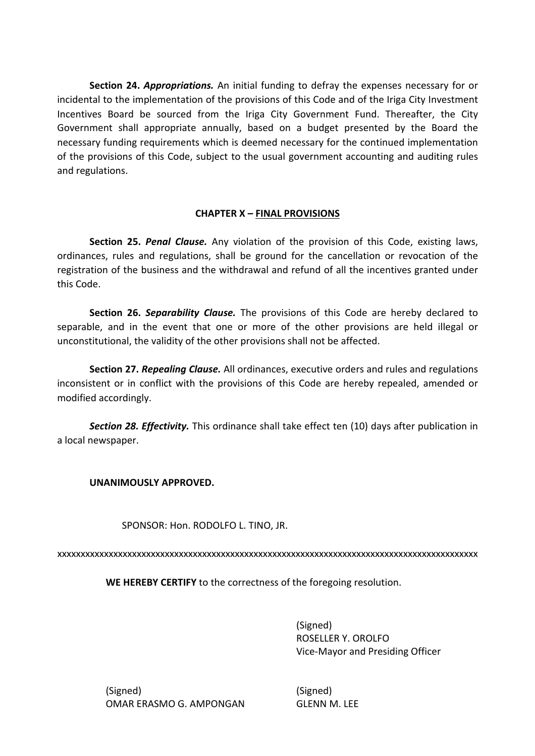**Section 24. Appropriations.** An initial funding to defray the expenses necessary for or incidental to the implementation of the provisions of this Code and of the Iriga City Investment Incentives Board be sourced from the Iriga City Government Fund. Thereafter, the City Government shall appropriate annually, based on a budget presented by the Board the necessary funding requirements which is deemed necessary for the continued implementation of the provisions of this Code, subject to the usual government accounting and auditing rules and regulations.

### **CHAPTER X – FINAL PROVISIONS**

**Section 25.** *Penal Clause*. Any violation of the provision of this Code, existing laws, ordinances, rules and regulations, shall be ground for the cancellation or revocation of the registration of the business and the withdrawal and refund of all the incentives granted under this Code.

**Section 26. Separability Clause.** The provisions of this Code are hereby declared to separable, and in the event that one or more of the other provisions are held illegal or unconstitutional, the validity of the other provisions shall not be affected.

**Section 27. Repealing Clause.** All ordinances, executive orders and rules and regulations inconsistent or in conflict with the provisions of this Code are hereby repealed, amended or modified accordingly.

**Section 28. Effectivity.** This ordinance shall take effect ten (10) days after publication in a local newspaper.

### **UNANIMOUSLY APPROVED.**

SPONSOR: Hon. RODOLFO L. TINO, JR.

xxxxxxxxxxxxxxxxxxxxxxxxxxxxxxxxxxxxxxxxxxxxxxxxxxxxxxxxxxxxxxxxxxxxxxxxxxxxxxxxxxxxxxxxxx

**WE HEREBY CERTIFY** to the correctness of the foregoing resolution.

(Signed) ROSELLER Y. OROLFO Vice-Mayor and Presiding Officer

(Signed) OMAR ERASMO G. AMPONGAN (Signed) **GLENN M. LEE** 

(Signed) BODOLFO L. TINO, ID. (Signed) ANGEL A. BAGAMASBAD